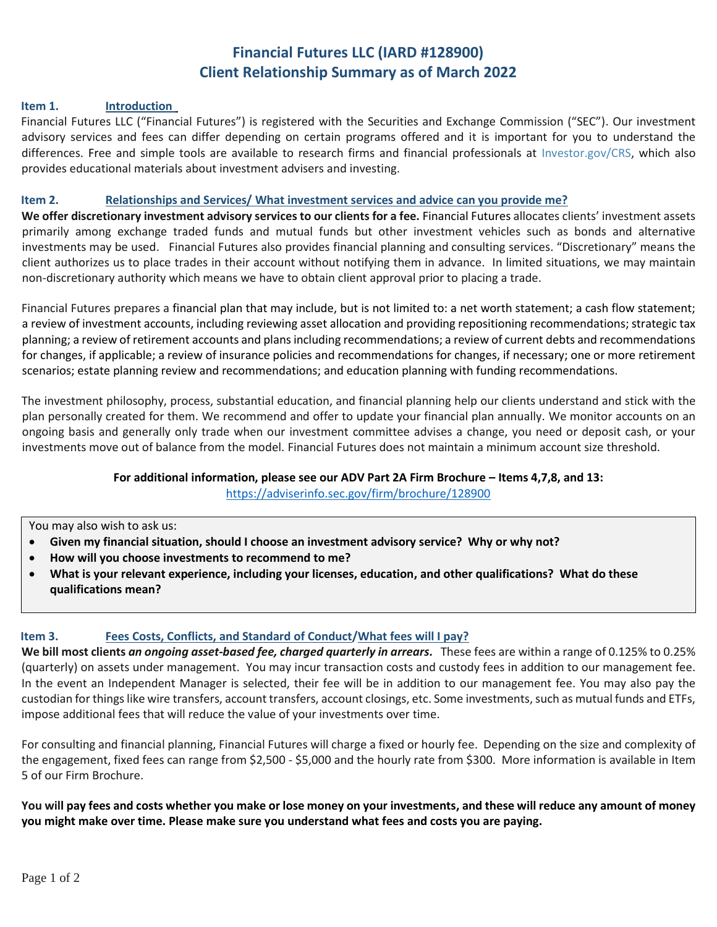# **Financial Futures LLC (IARD #128900) Client Relationship Summary as of March 2022**

#### **Item 1. Introduction**

Financial Futures LLC ("Financial Futures") is registered with the Securities and Exchange Commission ("SEC"). Our investment advisory services and fees can differ depending on certain programs offered and it is important for you to understand the differences. Free and simple tools are available to research firms and financial professionals at [Investor.gov/CRS,](http://investor.gov/CRS) which also provides educational materials about investment advisers and investing.

#### **Item 2. Relationships and Services/ What investment services and advice can you provide me?**

**We offer discretionary investment advisory services to our clients for a fee.** Financial Futures allocates clients' investment assets primarily among exchange traded funds and mutual funds but other investment vehicles such as bonds and alternative investments may be used. Financial Futures also provides financial planning and consulting services. "Discretionary" means the client authorizes us to place trades in their account without notifying them in advance. In limited situations, we may maintain non-discretionary authority which means we have to obtain client approval prior to placing a trade.

Financial Futures prepares a financial plan that may include, but is not limited to: a net worth statement; a cash flow statement; a review of investment accounts, including reviewing asset allocation and providing repositioning recommendations; strategic tax planning; a review of retirement accounts and plans including recommendations; a review of current debts and recommendations for changes, if applicable; a review of insurance policies and recommendations for changes, if necessary; one or more retirement scenarios; estate planning review and recommendations; and education planning with funding recommendations.

The investment philosophy, process, substantial education, and financial planning help our clients understand and stick with the plan personally created for them. We recommend and offer to update your financial plan annually. We monitor accounts on an ongoing basis and generally only trade when our investment committee advises a change, you need or deposit cash, or your investments move out of balance from the model. Financial Futures does not maintain a minimum account size threshold.

# **For additional information, please see our ADV Part 2A Firm Brochure – Items 4,7,8, and 13:**

<https://adviserinfo.sec.gov/firm/brochure/128900>

#### You may also wish to ask us:

- **Given my financial situation, should I choose an investment advisory service? Why or why not?**
- **How will you choose investments to recommend to me?**
- **What is your relevant experience, including your licenses, education, and other qualifications? What do these qualifications mean?**

# **Item 3. Fees Costs, Conflicts, and Standard of Conduct/What fees will I pay?**

**We bill most clients** *an ongoing asset-based fee, charged quarterly in arrears***.** These fees are within a range of 0.125% to 0.25% (quarterly) on assets under management. You may incur transaction costs and custody fees in addition to our management fee. In the event an Independent Manager is selected, their fee will be in addition to our management fee. You may also pay the custodian for things like wire transfers, account transfers, account closings, etc. Some investments, such as mutual funds and ETFs, impose additional fees that will reduce the value of your investments over time.

For consulting and financial planning, Financial Futures will charge a fixed or hourly fee. Depending on the size and complexity of the engagement, fixed fees can range from \$2,500 - \$5,000 and the hourly rate from \$300. More information is available in Item 5 of our Firm Brochure.

**You will pay fees and costs whether you make or lose money on your investments, and these will reduce any amount of money you might make over time. Please make sure you understand what fees and costs you are paying.**